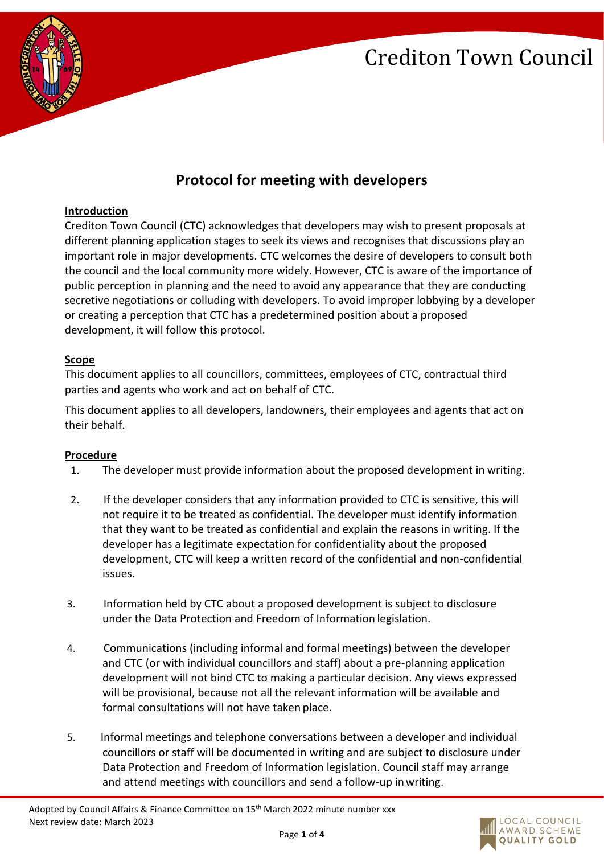

### **Protocol for meeting with developers**

#### **Introduction**

Crediton Town Council (CTC) acknowledges that developers may wish to present proposals at different planning application stages to seek its views and recognises that discussions play an important role in major developments. CTC welcomes the desire of developers to consult both the council and the local community more widely. However, CTC is aware of the importance of public perception in planning and the need to avoid any appearance that they are conducting secretive negotiations or colluding with developers. To avoid improper lobbying by a developer or creating a perception that CTC has a predetermined position about a proposed development, it will follow this protocol.

#### **Scope**

This document applies to all councillors, committees, employees of CTC, contractual third parties and agents who work and act on behalf of CTC.

This document applies to all developers, landowners, their employees and agents that act on their behalf.

#### **Procedure**

- 1. The developer must provide information about the proposed development in writing.
- 2. If the developer considers that any information provided to CTC is sensitive, this will not require it to be treated as confidential. The developer must identify information that they want to be treated as confidential and explain the reasons in writing. If the developer has a legitimate expectation for confidentiality about the proposed development, CTC will keep a written record of the confidential and non-confidential issues.
- 3. Information held by CTC about a proposed development is subject to disclosure under the Data Protection and Freedom of Information legislation.
- 4. Communications (including informal and formal meetings) between the developer and CTC (or with individual councillors and staff) about a pre-planning application development will not bind CTC to making a particular decision. Any views expressed will be provisional, because not all the relevant information will be available and formal consultations will not have taken place.
- 5. Informal meetings and telephone conversations between a developer and individual councillors or staff will be documented in writing and are subject to disclosure under Data Protection and Freedom of Information legislation. Council staff may arrange and attend meetings with councillors and send a follow-up inwriting.

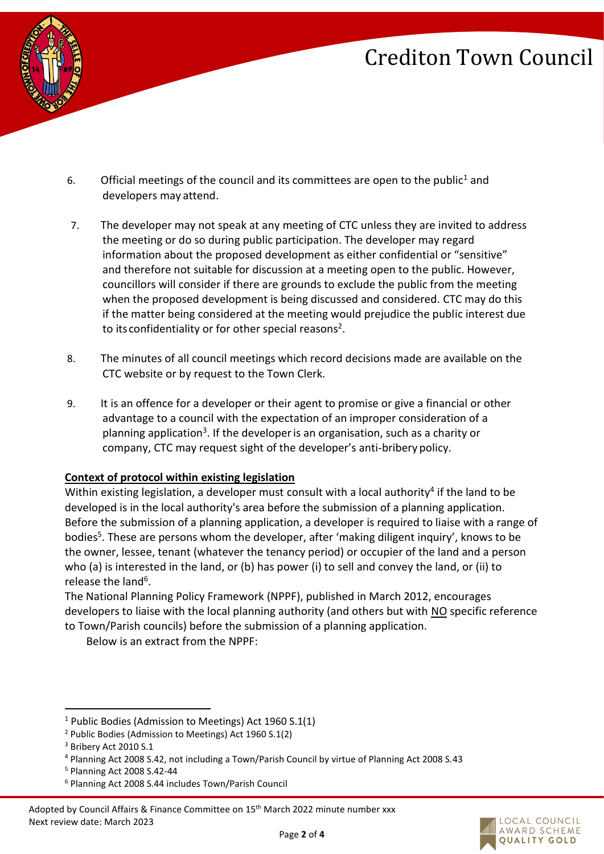

- 6. Official meetings of the council and its committees are open to the public<sup>1</sup> and developers may attend.
- 7. The developer may not speak at any meeting of CTC unless they are invited to address the meeting or do so during public participation. The developer may regard information about the proposed development as either confidential or "sensitive" and therefore not suitable for discussion at a meeting open to the public. However, councillors will consider if there are grounds to exclude the public from the meeting when the proposed development is being discussed and considered. CTC may do this if the matter being considered at the meeting would prejudice the public interest due to its confidentiality or for other special reasons<sup>2</sup>.
- 8. The minutes of all council meetings which record decisions made are available on the CTC website or by request to the Town Clerk.
- 9. It is an offence for a developer or their agent to promise or give a financial or other advantage to a council with the expectation of an improper consideration of a planning application<sup>3</sup>. If the developer is an organisation, such as a charity or company, CTC may request sight of the developer's anti-bribery policy.

### **Context of protocol within existing legislation**

Within existing legislation, a developer must consult with a local authority<sup>4</sup> if the land to be developed is in the local authority's area before the submission of a planning application. Before the submission of a planning application, a developer is required to liaise with a range of bodies<sup>5</sup>. These are persons whom the developer, after 'making diligent inquiry', knows to be the owner, lessee, tenant (whatever the tenancy period) or occupier of the land and a person who (a) is interested in the land, or (b) has power (i) to sell and convey the land, or (ii) to release the land<sup>6</sup>.

The National Planning Policy Framework (NPPF), published in March 2012, encourages developers to liaise with the local planning authority (and others but with NO specific reference to Town/Parish councils) before the submission of a planning application.

Below is an extract from the NPPF:



<sup>&</sup>lt;sup>1</sup> Public Bodies (Admission to Meetings) Act 1960 S.1(1)

<sup>2</sup> Public Bodies (Admission to Meetings) Act 1960 S.1(2)

<sup>&</sup>lt;sup>3</sup> Bribery Act 2010 S.1

<sup>4</sup> Planning Act 2008 S.42, not including a Town/Parish Council by virtue of Planning Act 2008 S.43

<sup>5</sup> Planning Act 2008 S.42-44

<sup>6</sup> Planning Act 2008 S.44 includes Town/Parish Council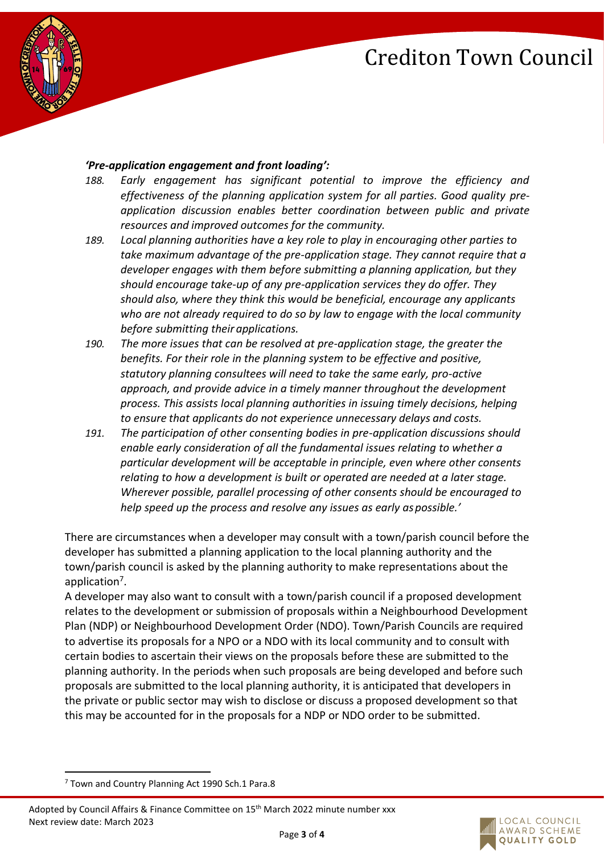

#### *'Pre-application engagement and front loading':*

- *188. Early engagement has significant potential to improve the efficiency and effectiveness of the planning application system for all parties. Good quality preapplication discussion enables better coordination between public and private resources and improved outcomes for the community.*
- *189. Local planning authorities have a key role to play in encouraging other parties to take maximum advantage of the pre-application stage. They cannot require that a developer engages with them before submitting a planning application, but they should encourage take-up of any pre-application services they do offer. They should also, where they think this would be beneficial, encourage any applicants who are not already required to do so by law to engage with the local community before submitting their applications.*
- *190. The more issues that can be resolved at pre-application stage, the greater the benefits. For their role in the planning system to be effective and positive, statutory planning consultees will need to take the same early, pro-active approach, and provide advice in a timely manner throughout the development process. This assists local planning authorities in issuing timely decisions, helping to ensure that applicants do not experience unnecessary delays and costs.*
- *191. The participation of other consenting bodies in pre-application discussions should enable early consideration of all the fundamental issues relating to whether a particular development will be acceptable in principle, even where other consents relating to how a development is built or operated are needed at a later stage. Wherever possible, parallel processing of other consents should be encouraged to help speed up the process and resolve any issues as early aspossible.'*

There are circumstances when a developer may consult with a town/parish council before the developer has submitted a planning application to the local planning authority and the town/parish council is asked by the planning authority to make representations about the application<sup>7</sup>.

A developer may also want to consult with a town/parish council if a proposed development relates to the development or submission of proposals within a Neighbourhood Development Plan (NDP) or Neighbourhood Development Order (NDO). Town/Parish Councils are required to advertise its proposals for a NPO or a NDO with its local community and to consult with certain bodies to ascertain their views on the proposals before these are submitted to the planning authority. In the periods when such proposals are being developed and before such proposals are submitted to the local planning authority, it is anticipated that developers in the private or public sector may wish to disclose or discuss a proposed development so that this may be accounted for in the proposals for a NDP or NDO order to be submitted.



 $7$  Town and Country Planning Act 1990 Sch.1 Para.8